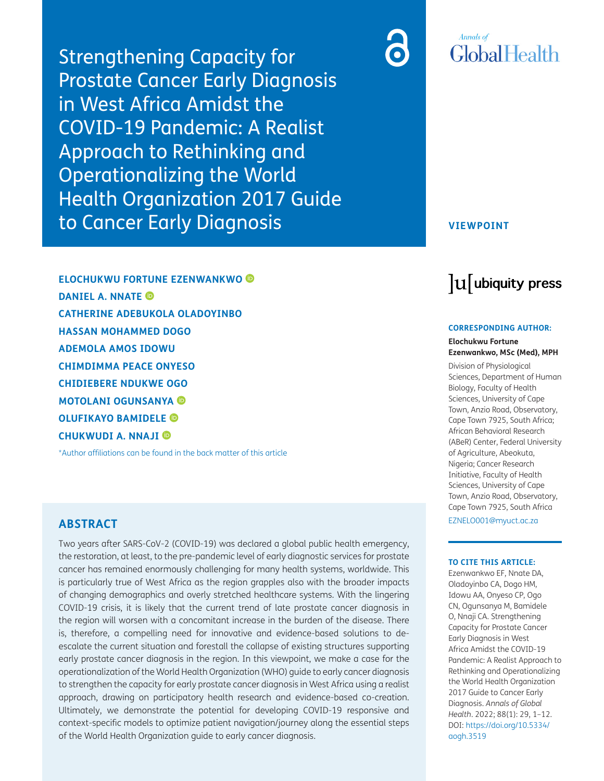Strengthening Capacity for Prostate Cancer Early Diagnosis in West Africa Amidst the COVID-19 Pandemic: A Realist Approach to Rethinking and Operationalizing the World Health Organization 2017 Guide to Cancer Early Diagnosis

## **VIEWPOINT**

**Annals** of

GlobalHealth

# lu ubiquity press

#### **CORRESPONDING AUTHOR:**

#### **Elochukwu Fortune Ezenwankwo, MSc (Med), MPH**

Division of Physiological Sciences, Department of Human Biology, Faculty of Health Sciences, University of Cape Town, Anzio Road, Observatory, Cape Town 7925, South Africa; African Behavioral Research (ABeR) Center, Federal University of Agriculture, Abeokuta, Nigeria; Cancer Research Initiative, Faculty of Health Sciences, University of Cape Town, Anzio Road, Observatory, Cape Town 7925, South Africa

[EZNELO001@myuct.ac.za](mailto:EZNELO001@myuct.ac.za)

#### **TO CITE THIS ARTICLE:**

Ezenwankwo EF, Nnate DA, Oladoyinbo CA, Dogo HM, Idowu AA, Onyeso CP, Ogo CN, Ogunsanya M, Bamidele O, Nnaji CA. Strengthening Capacity for Prostate Cancer Early Diagnosis in West Africa Amidst the COVID-19 Pandemic: A Realist Approach to Rethinking and Operationalizing the World Health Organization 2017 Guide to Cancer Early Diagnosis. *Annals of Global Health*. 2022; 88(1): 29, 1–12. DOI: [https://doi.org/10.5334/](https://doi.org/10.5334/aogh.3519) [aogh.3519](https://doi.org/10.5334/aogh.3519)

**ELOCHUKWU FORTUNE EZENWANKWO DANIEL A. NNATE CATHERINE ADEBUKOLA OLADOYINBO HASSAN MOHAMMED DOGO ADEMOLA AMOS IDOWU CHIMDIMMA PEACE ONYESO CHIDIEBERE NDUKWE OGO MOTOLANI OGUNSANYA OLUFIKAYO BAMIDELE CHUKWUDI A. NNAJI**

\*Author affiliations can be found in the back matter of this article

## **ABSTRACT**

Two years after SARS-CoV-2 (COVID-19) was declared a global public health emergency, the restoration, at least, to the pre-pandemic level of early diagnostic services for prostate cancer has remained enormously challenging for many health systems, worldwide. This is particularly true of West Africa as the region grapples also with the broader impacts of changing demographics and overly stretched healthcare systems. With the lingering COVID-19 crisis, it is likely that the current trend of late prostate cancer diagnosis in the region will worsen with a concomitant increase in the burden of the disease. There is, therefore, a compelling need for innovative and evidence-based solutions to deescalate the current situation and forestall the collapse of existing structures supporting early prostate cancer diagnosis in the region. In this viewpoint, we make a case for the operationalization of the World Health Organization (WHO) guide to early cancer diagnosis to strengthen the capacity for early prostate cancer diagnosis in West Africa using a realist approach, drawing on participatory health research and evidence-based co-creation. Ultimately, we demonstrate the potential for developing COVID-19 responsive and context-specific models to optimize patient navigation/journey along the essential steps of the World Health Organization guide to early cancer diagnosis.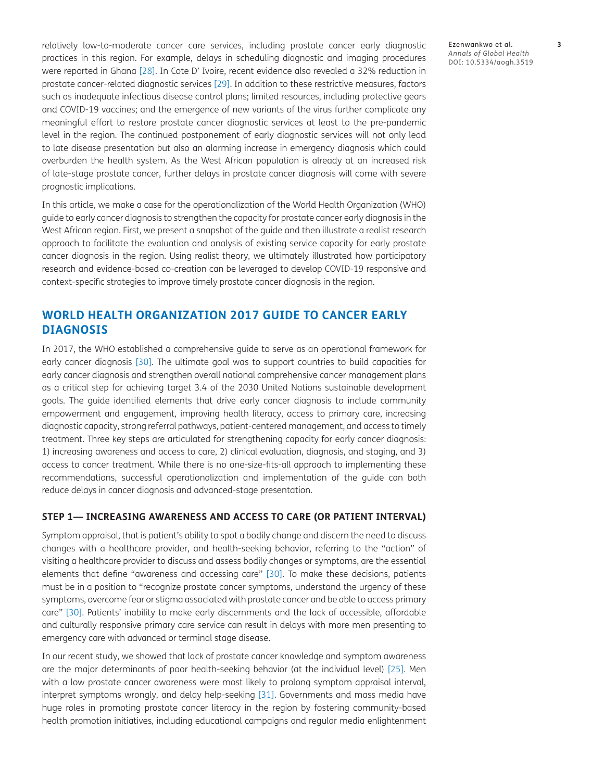relatively low-to-moderate cancer care services, including prostate cancer early diagnostic practices in this region. For example, delays in scheduling diagnostic and imaging procedures were reported in Ghana [\[28](#page-10-0)]. In Cote D' Ivoire, recent evidence also revealed a 32% reduction in prostate cancer-related diagnostic services [[29](#page-10-1)]. In addition to these restrictive measures, factors such as inadequate infectious disease control plans; limited resources, including protective gears and COVID-19 vaccines; and the emergence of new variants of the virus further complicate any meaningful effort to restore prostate cancer diagnostic services at least to the pre-pandemic level in the region. The continued postponement of early diagnostic services will not only lead to late disease presentation but also an alarming increase in emergency diagnosis which could overburden the health system. As the West African population is already at an increased risk of late-stage prostate cancer, further delays in prostate cancer diagnosis will come with severe prognostic implications.

In this article, we make a case for the operationalization of the World Health Organization (WHO) guide to early cancer diagnosis to strengthen the capacity for prostate cancer early diagnosis in the West African region. First, we present a snapshot of the guide and then illustrate a realist research approach to facilitate the evaluation and analysis of existing service capacity for early prostate cancer diagnosis in the region. Using realist theory, we ultimately illustrated how participatory research and evidence-based co-creation can be leveraged to develop COVID-19 responsive and context-specific strategies to improve timely prostate cancer diagnosis in the region.

# **WORLD HEALTH ORGANIZATION 2017 GUIDE TO CANCER EARLY DIAGNOSIS**

In 2017, the WHO established a comprehensive guide to serve as an operational framework for early cancer diagnosis [\[30\]](#page-10-2). The ultimate goal was to support countries to build capacities for early cancer diagnosis and strengthen overall national comprehensive cancer management plans as a critical step for achieving target 3.4 of the 2030 United Nations sustainable development goals. The guide identified elements that drive early cancer diagnosis to include community empowerment and engagement, improving health literacy, access to primary care, increasing diagnostic capacity, strong referral pathways, patient-centered management, and access to timely treatment. Three key steps are articulated for strengthening capacity for early cancer diagnosis: 1) increasing awareness and access to care, 2) clinical evaluation, diagnosis, and staging, and 3) access to cancer treatment. While there is no one-size-fits-all approach to implementing these recommendations, successful operationalization and implementation of the guide can both reduce delays in cancer diagnosis and advanced-stage presentation.

## **STEP 1— INCREASING AWARENESS AND ACCESS TO CARE (OR PATIENT INTERVAL)**

Symptom appraisal, that is patient's ability to spot a bodily change and discern the need to discuss changes with a healthcare provider, and health-seeking behavior, referring to the "action" of visiting a healthcare provider to discuss and assess bodily changes or symptoms, are the essential elements that define "awareness and accessing care" [\[30](#page-10-2)]. To make these decisions, patients must be in a position to "recognize prostate cancer symptoms, understand the urgency of these symptoms, overcome fear or stigma associated with prostate cancer and be able to access primary care" [[30](#page-10-2)]. Patients' inability to make early discernments and the lack of accessible, affordable and culturally responsive primary care service can result in delays with more men presenting to emergency care with advanced or terminal stage disease.

In our recent study, we showed that lack of prostate cancer knowledge and symptom awareness are the major determinants of poor health-seeking behavior (at the individual level) [\[25](#page-10-3)]. Men with a low prostate cancer awareness were most likely to prolong symptom appraisal interval, interpret symptoms wrongly, and delay help-seeking [[31](#page-10-1)]. Governments and mass media have huge roles in promoting prostate cancer literacy in the region by fostering community-based health promotion initiatives, including educational campaigns and regular media enlightenment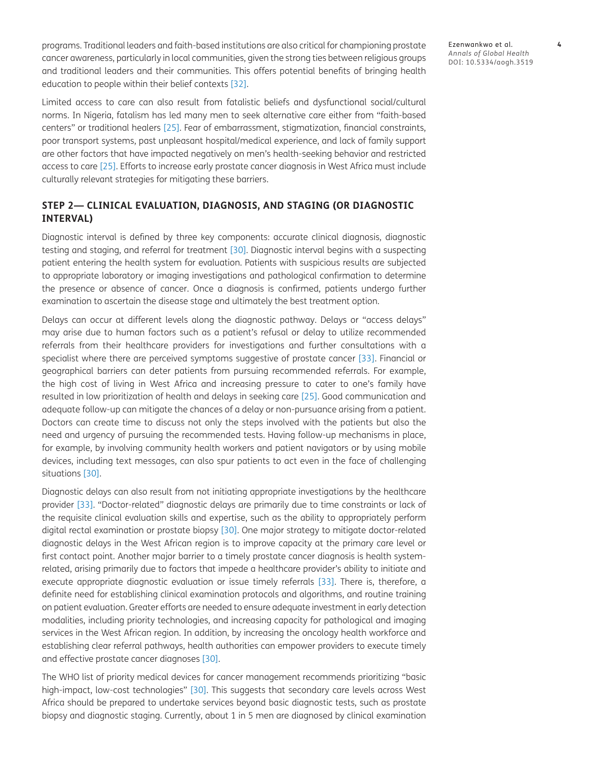programs. Traditional leaders and faith-based institutions are also critical for championing prostate cancer awareness, particularly in local communities, given the strong ties between religious groups and traditional leaders and their communities. This offers potential benefits of bringing health education to people within their belief contexts [[32](#page-10-4)].

Limited access to care can also result from fatalistic beliefs and dysfunctional social/cultural norms. In Nigeria, fatalism has led many men to seek alternative care either from "faith-based centers" or traditional healers [[25](#page-10-3)]. Fear of embarrassment, stigmatization, financial constraints, poor transport systems, past unpleasant hospital/medical experience, and lack of family support are other factors that have impacted negatively on men's health-seeking behavior and restricted access to care [\[25\]](#page-10-3). Efforts to increase early prostate cancer diagnosis in West Africa must include culturally relevant strategies for mitigating these barriers.

## **STEP 2— CLINICAL EVALUATION, DIAGNOSIS, AND STAGING (OR DIAGNOSTIC INTERVAL)**

Diagnostic interval is defined by three key components: accurate clinical diagnosis, diagnostic testing and staging, and referral for treatment [\[30\]](#page-10-2). Diagnostic interval begins with a suspecting patient entering the health system for evaluation. Patients with suspicious results are subjected to appropriate laboratory or imaging investigations and pathological confirmation to determine the presence or absence of cancer. Once a diagnosis is confirmed, patients undergo further examination to ascertain the disease stage and ultimately the best treatment option.

Delays can occur at different levels along the diagnostic pathway. Delays or "access delays" may arise due to human factors such as a patient's refusal or delay to utilize recommended referrals from their healthcare providers for investigations and further consultations with a specialist where there are perceived symptoms suggestive of prostate cancer [[33\]](#page-10-5). Financial or geographical barriers can deter patients from pursuing recommended referrals. For example, the high cost of living in West Africa and increasing pressure to cater to one's family have resulted in low prioritization of health and delays in seeking care [\[25\]](#page-10-3). Good communication and adequate follow-up can mitigate the chances of a delay or non-pursuance arising from a patient. Doctors can create time to discuss not only the steps involved with the patients but also the need and urgency of pursuing the recommended tests. Having follow-up mechanisms in place, for example, by involving community health workers and patient navigators or by using mobile devices, including text messages, can also spur patients to act even in the face of challenging situations [\[30\]](#page-10-2).

Diagnostic delays can also result from not initiating appropriate investigations by the healthcare provider [\[33](#page-10-5)]. "Doctor-related" diagnostic delays are primarily due to time constraints or lack of the requisite clinical evaluation skills and expertise, such as the ability to appropriately perform digital rectal examination or prostate biopsy [\[30](#page-10-2)]. One major strategy to mitigate doctor-related diagnostic delays in the West African region is to improve capacity at the primary care level or first contact point. Another major barrier to a timely prostate cancer diagnosis is health systemrelated, arising primarily due to factors that impede a healthcare provider's ability to initiate and execute appropriate diagnostic evaluation or issue timely referrals [[33](#page-10-5)]. There is, therefore, a definite need for establishing clinical examination protocols and algorithms, and routine training on patient evaluation. Greater efforts are needed to ensure adequate investment in early detection modalities, including priority technologies, and increasing capacity for pathological and imaging services in the West African region. In addition, by increasing the oncology health workforce and establishing clear referral pathways, health authorities can empower providers to execute timely and effective prostate cancer diagnoses [[30](#page-10-2)].

The WHO list of priority medical devices for cancer management recommends prioritizing "basic high-impact, low-cost technologies" [[30](#page-10-2)]. This suggests that secondary care levels across West Africa should be prepared to undertake services beyond basic diagnostic tests, such as prostate biopsy and diagnostic staging. Currently, about 1 in 5 men are diagnosed by clinical examination

Ezenwankwo et al. **4** *Annals of Global Health* DOI: 10.5334/aogh.3519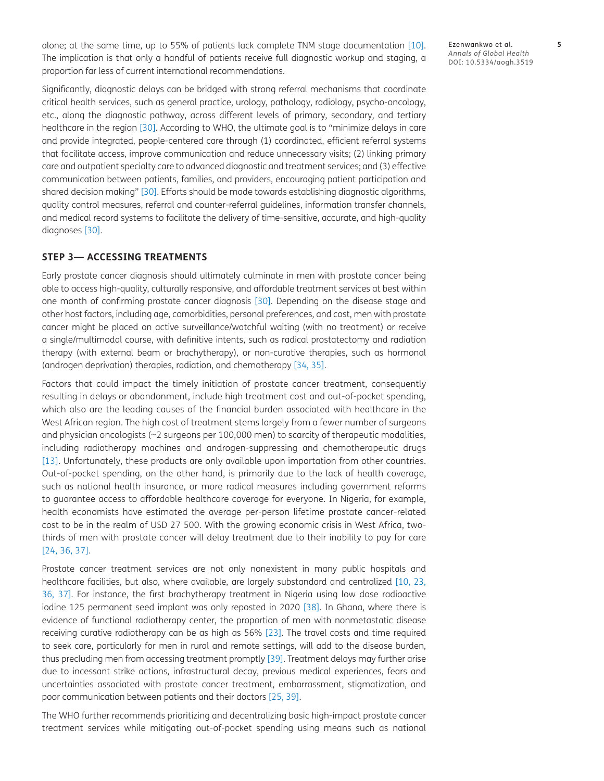alone; at the same time, up to 55% of patients lack complete TNM stage documentation [[10\]](#page-9-0). The implication is that only a handful of patients receive full diagnostic workup and staging, a proportion far less of current international recommendations.

Significantly, diagnostic delays can be bridged with strong referral mechanisms that coordinate critical health services, such as general practice, urology, pathology, radiology, psycho-oncology, etc., along the diagnostic pathway, across different levels of primary, secondary, and tertiary healthcare in the region [[30\]](#page-10-2). According to WHO, the ultimate goal is to "minimize delays in care and provide integrated, people-centered care through (1) coordinated, efficient referral systems that facilitate access, improve communication and reduce unnecessary visits; (2) linking primary care and outpatient specialty care to advanced diagnostic and treatment services; and (3) effective communication between patients, families, and providers, encouraging patient participation and shared decision making" [[30](#page-10-2)]. Efforts should be made towards establishing diagnostic algorithms, quality control measures, referral and counter-referral guidelines, information transfer channels, and medical record systems to facilitate the delivery of time-sensitive, accurate, and high-quality diagnoses [\[30\]](#page-10-2).

## **STEP 3— ACCESSING TREATMENTS**

Early prostate cancer diagnosis should ultimately culminate in men with prostate cancer being able to access high-quality, culturally responsive, and affordable treatment services at best within one month of confirming prostate cancer diagnosis [\[30\]](#page-10-2). Depending on the disease stage and other host factors, including age, comorbidities, personal preferences, and cost, men with prostate cancer might be placed on active surveillance/watchful waiting (with no treatment) or receive a single/multimodal course, with definitive intents, such as radical prostatectomy and radiation therapy (with external beam or brachytherapy), or non-curative therapies, such as hormonal (androgen deprivation) therapies, radiation, and chemotherapy [[34](#page-10-6), [35\]](#page-10-7).

Factors that could impact the timely initiation of prostate cancer treatment, consequently resulting in delays or abandonment, include high treatment cost and out-of-pocket spending, which also are the leading causes of the financial burden associated with healthcare in the West African region. The high cost of treatment stems largely from a fewer number of surgeons and physician oncologists (~2 surgeons per 100,000 men) to scarcity of therapeutic modalities, including radiotherapy machines and androgen-suppressing and chemotherapeutic drugs [[13](#page-9-1)]. Unfortunately, these products are only available upon importation from other countries. Out-of-pocket spending, on the other hand, is primarily due to the lack of health coverage, such as national health insurance, or more radical measures including government reforms to guarantee access to affordable healthcare coverage for everyone. In Nigeria, for example, health economists have estimated the average per-person lifetime prostate cancer-related cost to be in the realm of USD 27 500. With the growing economic crisis in West Africa, twothirds of men with prostate cancer will delay treatment due to their inability to pay for care [[24](#page-10-8), [36,](#page-10-9) [37\]](#page-10-10).

Prostate cancer treatment services are not only nonexistent in many public hospitals and healthcare facilities, but also, where available, are largely substandard and centralized [[10](#page-9-0), [23,](#page-10-11) [36,](#page-10-9) [37](#page-10-10)]. For instance, the first brachytherapy treatment in Nigeria using low dose radioactive iodine 125 permanent seed implant was only reposted in 2020 [[38\]](#page-10-12). In Ghana, where there is evidence of functional radiotherapy center, the proportion of men with nonmetastatic disease receiving curative radiotherapy can be as high as 56% [\[23](#page-10-11)]. The travel costs and time required to seek care, particularly for men in rural and remote settings, will add to the disease burden, thus precluding men from accessing treatment promptly [[39](#page-10-13)]. Treatment delays may further arise due to incessant strike actions, infrastructural decay, previous medical experiences, fears and uncertainties associated with prostate cancer treatment, embarrassment, stigmatization, and poor communication between patients and their doctors [\[25,](#page-10-3) [39](#page-10-13)].

The WHO further recommends prioritizing and decentralizing basic high-impact prostate cancer treatment services while mitigating out-of-pocket spending using means such as national Ezenwankwo et al. **5** *Annals of Global Health* DOI: 10.5334/aogh.3519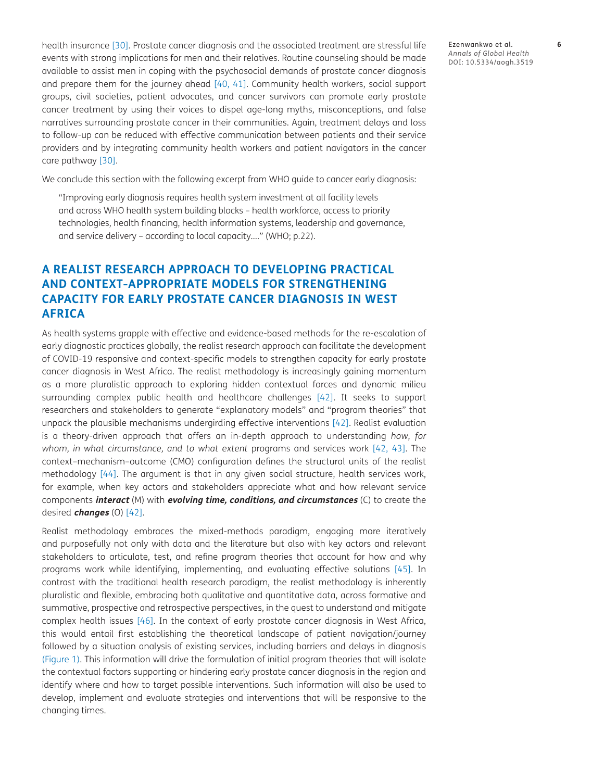health insurance [[30](#page-10-2)]. Prostate cancer diagnosis and the associated treatment are stressful life events with strong implications for men and their relatives. Routine counseling should be made available to assist men in coping with the psychosocial demands of prostate cancer diagnosis and prepare them for the journey ahead [\[40,](#page-10-14) [41\]](#page-10-14). Community health workers, social support groups, civil societies, patient advocates, and cancer survivors can promote early prostate cancer treatment by using their voices to dispel age-long myths, misconceptions, and false narratives surrounding prostate cancer in their communities. Again, treatment delays and loss to follow-up can be reduced with effective communication between patients and their service providers and by integrating community health workers and patient navigators in the cancer care pathway [[30](#page-10-2)].

We conclude this section with the following excerpt from WHO guide to cancer early diagnosis:

"Improving early diagnosis requires health system investment at all facility levels and across WHO health system building blocks – health workforce, access to priority technologies, health financing, health information systems, leadership and governance, and service delivery – according to local capacity…." (WHO; p.22).

# **A REALIST RESEARCH APPROACH TO DEVELOPING PRACTICAL AND CONTEXT-APPROPRIATE MODELS FOR STRENGTHENING CAPACITY FOR EARLY PROSTATE CANCER DIAGNOSIS IN WEST AFRICA**

As health systems grapple with effective and evidence-based methods for the re-escalation of early diagnostic practices globally, the realist research approach can facilitate the development of COVID-19 responsive and context-specific models to strengthen capacity for early prostate cancer diagnosis in West Africa. The realist methodology is increasingly gaining momentum as a more pluralistic approach to exploring hidden contextual forces and dynamic milieu surrounding complex public health and healthcare challenges [\[42\]](#page-11-0). It seeks to support researchers and stakeholders to generate "explanatory models" and "program theories" that unpack the plausible mechanisms undergirding effective interventions [[42\]](#page-11-0). Realist evaluation is a theory-driven approach that offers an in-depth approach to understanding *how, for whom, in what circumstance, and to what extent* programs and services work [[42](#page-11-0), 43]. The context–mechanism–outcome (CMO) configuration defines the structural units of the realist methodology [44]. The argument is that in any given social structure, health services work, for example, when key actors and stakeholders appreciate what and how relevant service components **interact** (M) with **evolving time, conditions, and circumstances** (C) to create the desired **changes** (O) [[42](#page-11-0)].

Realist methodology embraces the mixed-methods paradigm, engaging more iteratively and purposefully not only with data and the literature but also with key actors and relevant stakeholders to articulate, test, and refine program theories that account for how and why programs work while identifying, implementing, and evaluating effective solutions [45]. In contrast with the traditional health research paradigm, the realist methodology is inherently pluralistic and flexible, embracing both qualitative and quantitative data, across formative and summative, prospective and retrospective perspectives, in the quest to understand and mitigate complex health issues [46]. In the context of early prostate cancer diagnosis in West Africa, this would entail first establishing the theoretical landscape of patient navigation/journey followed by a situation analysis of existing services, including barriers and delays in diagnosis (Figure 1). This information will drive the formulation of initial program theories that will isolate the contextual factors supporting or hindering early prostate cancer diagnosis in the region and identify where and how to target possible interventions. Such information will also be used to develop, implement and evaluate strategies and interventions that will be responsive to the changing times.

Ezenwankwo et al. **6** *Annals of Global Health* DOI: 10.5334/aogh.3519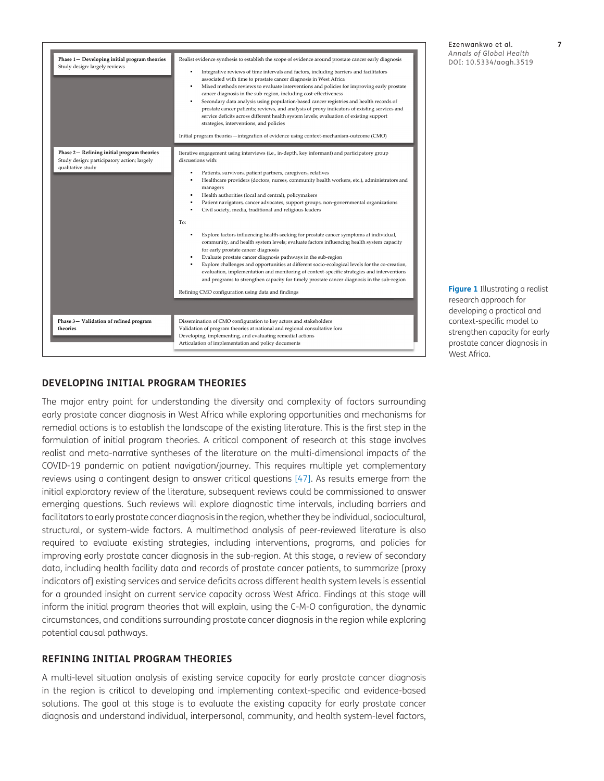| Phase 1- Developing initial program theories<br>Study design: largely reviews                                  | Realist evidence synthesis to establish the scope of evidence around prostate cancer early diagnosis<br>Integrative reviews of time intervals and factors, including barriers and facilitators<br>associated with time to prostate cancer diagnosis in West Africa<br>Mixed methods reviews to evaluate interventions and policies for improving early prostate<br>cancer diagnosis in the sub-region, including cost-effectiveness<br>$\blacksquare$<br>Secondary data analysis using population-based cancer registries and health records of<br>prostate cancer patients; reviews, and analysis of proxy indicators of existing services and<br>service deficits across different health system levels; evaluation of existing support<br>strategies, interventions, and policies<br>Initial program theories -- integration of evidence using context-mechanism-outcome (CMO)                                                                                                                                                                                                                                                                                                                 |
|----------------------------------------------------------------------------------------------------------------|---------------------------------------------------------------------------------------------------------------------------------------------------------------------------------------------------------------------------------------------------------------------------------------------------------------------------------------------------------------------------------------------------------------------------------------------------------------------------------------------------------------------------------------------------------------------------------------------------------------------------------------------------------------------------------------------------------------------------------------------------------------------------------------------------------------------------------------------------------------------------------------------------------------------------------------------------------------------------------------------------------------------------------------------------------------------------------------------------------------------------------------------------------------------------------------------------|
| Phase 2- Refining initial program theories<br>Study design: participatory action; largely<br>qualitative study | Iterative engagement using interviews (i.e., in-depth, key informant) and participatory group<br>discussions with:<br>Patients, survivors, patient partners, caregivers, relatives<br>٠<br>Healthcare providers (doctors, nurses, community health workers, etc.), administrators and<br>managers<br>Health authorities (local and central), policymakers<br>Patient navigators, cancer advocates, support groups, non-governmental organizations<br>٠<br>Civil society, media, traditional and religious leaders<br>٠<br>To:<br>Explore factors influencing health-seeking for prostate cancer symptoms at individual,<br>$\blacksquare$<br>community, and health system levels; evaluate factors influencing health system capacity<br>for early prostate cancer diagnosis<br>Evaluate prostate cancer diagnosis pathways in the sub-region<br>Explore challenges and opportunities at different socio-ecological levels for the co-creation,<br>evaluation, implementation and monitoring of context-specific strategies and interventions<br>and programs to strengthen capacity for timely prostate cancer diagnosis in the sub-region<br>Refining CMO configuration using data and findings |
| Phase 3- Validation of refined program<br>theories                                                             | Dissemination of CMO configuration to key actors and stakeholders<br>Validation of program theories at national and regional consultative fora<br>Developing, implementing, and evaluating remedial actions<br>Articulation of implementation and policy documents                                                                                                                                                                                                                                                                                                                                                                                                                                                                                                                                                                                                                                                                                                                                                                                                                                                                                                                                |

Ezenwankwo et al. **7** *Annals of Global Health* DOI: 10.5334/aogh.3519

**Figure 1** Illustrating a realist research approach for developing a practical and context-specific model to strengthen capacity for early prostate cancer diagnosis in West Africa.

## **DEVELOPING INITIAL PROGRAM THEORIES**

The major entry point for understanding the diversity and complexity of factors surrounding early prostate cancer diagnosis in West Africa while exploring opportunities and mechanisms for remedial actions is to establish the landscape of the existing literature. This is the first step in the formulation of initial program theories. A critical component of research at this stage involves realist and meta-narrative syntheses of the literature on the multi-dimensional impacts of the COVID-19 pandemic on patient navigation/journey. This requires multiple yet complementary reviews using a contingent design to answer critical questions [47]. As results emerge from the initial exploratory review of the literature, subsequent reviews could be commissioned to answer emerging questions. Such reviews will explore diagnostic time intervals, including barriers and facilitators to early prostate cancer diagnosis in the region, whether they be individual, sociocultural, structural, or system-wide factors. A multimethod analysis of peer-reviewed literature is also required to evaluate existing strategies, including interventions, programs, and policies for improving early prostate cancer diagnosis in the sub-region. At this stage, a review of secondary data, including health facility data and records of prostate cancer patients, to summarize [proxy indicators of] existing services and service deficits across different health system levels is essential for a grounded insight on current service capacity across West Africa. Findings at this stage will inform the initial program theories that will explain, using the C-M-O configuration, the dynamic circumstances, and conditions surrounding prostate cancer diagnosis in the region while exploring potential causal pathways.

#### **REFINING INITIAL PROGRAM THEORIES**

A multi-level situation analysis of existing service capacity for early prostate cancer diagnosis in the region is critical to developing and implementing context-specific and evidence-based solutions. The goal at this stage is to evaluate the existing capacity for early prostate cancer diagnosis and understand individual, interpersonal, community, and health system-level factors,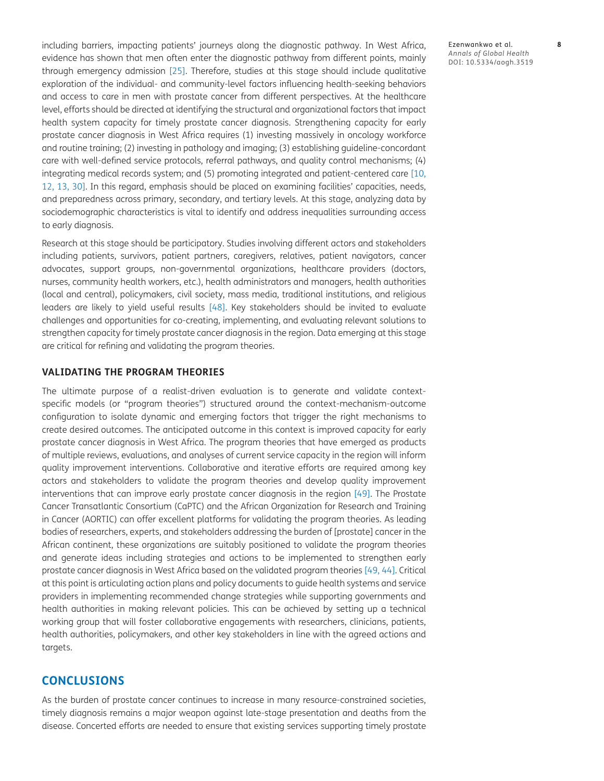including barriers, impacting patients' journeys along the diagnostic pathway. In West Africa, evidence has shown that men often enter the diagnostic pathway from different points, mainly through emergency admission [[25\]](#page-10-3). Therefore, studies at this stage should include qualitative exploration of the individual- and community-level factors influencing health-seeking behaviors and access to care in men with prostate cancer from different perspectives. At the healthcare level, efforts should be directed at identifying the structural and organizational factors that impact health system capacity for timely prostate cancer diagnosis. Strengthening capacity for early prostate cancer diagnosis in West Africa requires (1) investing massively in oncology workforce and routine training; (2) investing in pathology and imaging; (3) establishing guideline-concordant care with well-defined service protocols, referral pathways, and quality control mechanisms; (4) integrating medical records system; and (5) promoting integrated and patient-centered care [[10,](#page-9-0) [12,](#page-9-2) [13](#page-9-1), [30\]](#page-10-2). In this regard, emphasis should be placed on examining facilities' capacities, needs, and preparedness across primary, secondary, and tertiary levels. At this stage, analyzing data by sociodemographic characteristics is vital to identify and address inequalities surrounding access to early diagnosis.

Research at this stage should be participatory. Studies involving different actors and stakeholders including patients, survivors, patient partners, caregivers, relatives, patient navigators, cancer advocates, support groups, non-governmental organizations, healthcare providers (doctors, nurses, community health workers, etc.), health administrators and managers, health authorities (local and central), policymakers, civil society, mass media, traditional institutions, and religious leaders are likely to yield useful results [48]. Key stakeholders should be invited to evaluate challenges and opportunities for co-creating, implementing, and evaluating relevant solutions to strengthen capacity for timely prostate cancer diagnosis in the region. Data emerging at this stage are critical for refining and validating the program theories.

## **VALIDATING THE PROGRAM THEORIES**

The ultimate purpose of a realist-driven evaluation is to generate and validate contextspecific models (or "program theories") structured around the context-mechanism-outcome configuration to isolate dynamic and emerging factors that trigger the right mechanisms to create desired outcomes. The anticipated outcome in this context is improved capacity for early prostate cancer diagnosis in West Africa. The program theories that have emerged as products of multiple reviews, evaluations, and analyses of current service capacity in the region will inform quality improvement interventions. Collaborative and iterative efforts are required among key actors and stakeholders to validate the program theories and develop quality improvement interventions that can improve early prostate cancer diagnosis in the region [49]. The Prostate Cancer Transatlantic Consortium (CaPTC) and the African Organization for Research and Training in Cancer (AORTIC) can offer excellent platforms for validating the program theories. As leading bodies of researchers, experts, and stakeholders addressing the burden of [prostate] cancer in the African continent, these organizations are suitably positioned to validate the program theories and generate ideas including strategies and actions to be implemented to strengthen early prostate cancer diagnosis in West Africa based on the validated program theories [49, 44]. Critical at this point is articulating action plans and policy documents to guide health systems and service providers in implementing recommended change strategies while supporting governments and health authorities in making relevant policies. This can be achieved by setting up a technical working group that will foster collaborative engagements with researchers, clinicians, patients, health authorities, policymakers, and other key stakeholders in line with the agreed actions and targets.

## **CONCLUSIONS**

As the burden of prostate cancer continues to increase in many resource-constrained societies, timely diagnosis remains a major weapon against late-stage presentation and deaths from the disease. Concerted efforts are needed to ensure that existing services supporting timely prostate Ezenwankwo et al. **8** *Annals of Global Health* DOI: 10.5334/aogh.3519